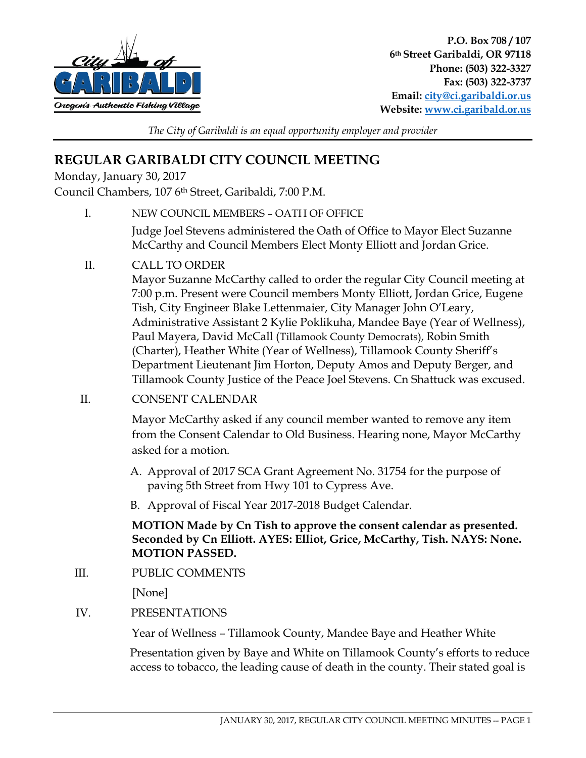

*The City of Garibaldi is an equal opportunity employer and provider* 

# **REGULAR GARIBALDI CITY COUNCIL MEETING**

Monday, January 30, 2017

Council Chambers, 107 6th Street, Garibaldi, 7:00 P.M.

I. NEW COUNCIL MEMBERS – OATH OF OFFICE

Judge Joel Stevens administered the Oath of Office to Mayor Elect Suzanne McCarthy and Council Members Elect Monty Elliott and Jordan Grice.

II. CALL TO ORDER

Mayor Suzanne McCarthy called to order the regular City Council meeting at 7:00 p.m. Present were Council members Monty Elliott, Jordan Grice, Eugene Tish, City Engineer Blake Lettenmaier, City Manager John O'Leary, Administrative Assistant 2 Kylie Poklikuha, Mandee Baye (Year of Wellness), Paul Mayera, David McCall (Tillamook County Democrats), Robin Smith (Charter), Heather White (Year of Wellness), Tillamook County Sheriff's Department Lieutenant Jim Horton, Deputy Amos and Deputy Berger, and Tillamook County Justice of the Peace Joel Stevens. Cn Shattuck was excused.

II. CONSENT CALENDAR

Mayor McCarthy asked if any council member wanted to remove any item from the Consent Calendar to Old Business. Hearing none, Mayor McCarthy asked for a motion.

- A. Approval of 2017 SCA Grant Agreement No. 31754 for the purpose of paving 5th Street from Hwy 101 to Cypress Ave.
- B. Approval of Fiscal Year 2017-2018 Budget Calendar.

**MOTION Made by Cn Tish to approve the consent calendar as presented. Seconded by Cn Elliott. AYES: Elliot, Grice, McCarthy, Tish. NAYS: None. MOTION PASSED.** 

III. PUBLIC COMMENTS

[None]

IV. PRESENTATIONS

Year of Wellness – Tillamook County, Mandee Baye and Heather White

Presentation given by Baye and White on Tillamook County's efforts to reduce access to tobacco, the leading cause of death in the county. Their stated goal is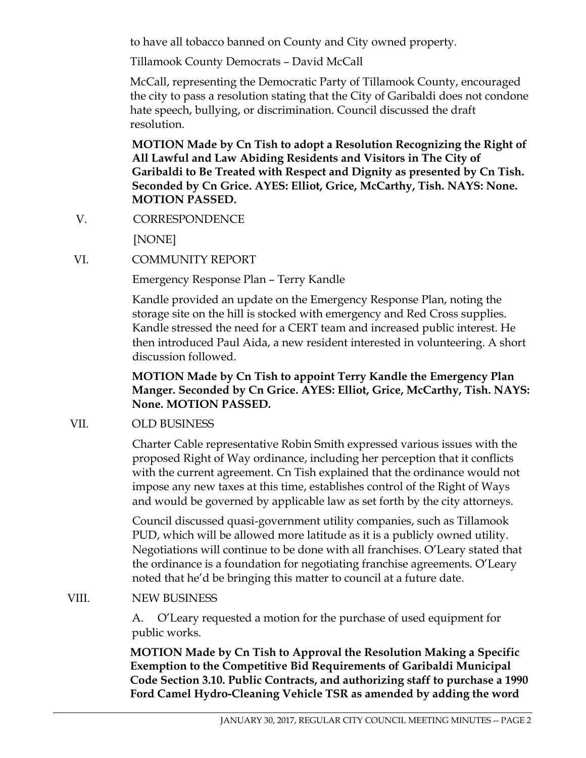to have all tobacco banned on County and City owned property.

Tillamook County Democrats – David McCall

McCall, representing the Democratic Party of Tillamook County, encouraged the city to pass a resolution stating that the City of Garibaldi does not condone hate speech, bullying, or discrimination. Council discussed the draft resolution.

**MOTION Made by Cn Tish to adopt a Resolution Recognizing the Right of All Lawful and Law Abiding Residents and Visitors in The City of Garibaldi to Be Treated with Respect and Dignity as presented by Cn Tish. Seconded by Cn Grice. AYES: Elliot, Grice, McCarthy, Tish. NAYS: None. MOTION PASSED.** 

V. CORRESPONDENCE

[NONE]

VI. COMMUNITY REPORT

Emergency Response Plan – Terry Kandle

Kandle provided an update on the Emergency Response Plan, noting the storage site on the hill is stocked with emergency and Red Cross supplies. Kandle stressed the need for a CERT team and increased public interest. He then introduced Paul Aida, a new resident interested in volunteering. A short discussion followed.

#### **MOTION Made by Cn Tish to appoint Terry Kandle the Emergency Plan Manger. Seconded by Cn Grice. AYES: Elliot, Grice, McCarthy, Tish. NAYS: None. MOTION PASSED.**

## VII. OLD BUSINESS

Charter Cable representative Robin Smith expressed various issues with the proposed Right of Way ordinance, including her perception that it conflicts with the current agreement. Cn Tish explained that the ordinance would not impose any new taxes at this time, establishes control of the Right of Ways and would be governed by applicable law as set forth by the city attorneys.

Council discussed quasi-government utility companies, such as Tillamook PUD, which will be allowed more latitude as it is a publicly owned utility. Negotiations will continue to be done with all franchises. O'Leary stated that the ordinance is a foundation for negotiating franchise agreements. O'Leary noted that he'd be bringing this matter to council at a future date.

## VIII. NEW BUSINESS

 A. O'Leary requested a motion for the purchase of used equipment for public works.

**MOTION Made by Cn Tish to Approval the Resolution Making a Specific Exemption to the Competitive Bid Requirements of Garibaldi Municipal Code Section 3.10. Public Contracts, and authorizing staff to purchase a 1990 Ford Camel Hydro-Cleaning Vehicle TSR as amended by adding the word**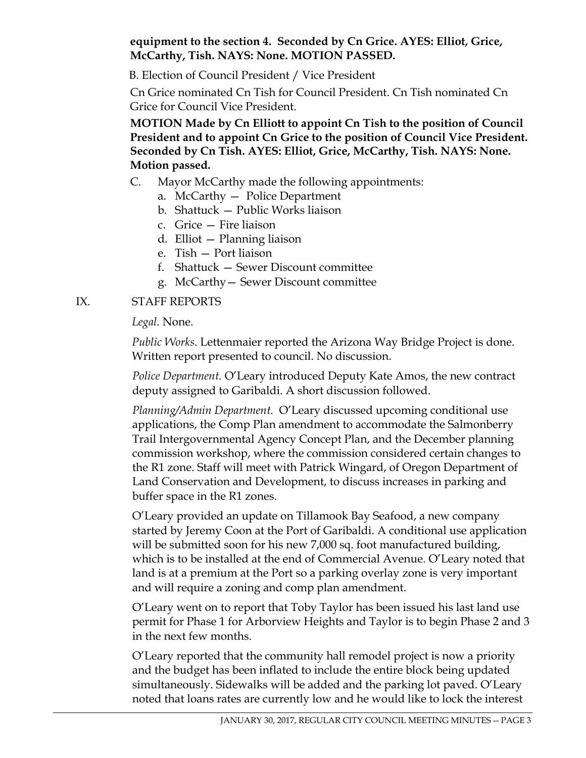#### **equipment to the section 4. Seconded by Cn Grice. AYES: Elliot, Grice, McCarthy, Tish. NAYS: None. MOTION PASSED.**

B. Election of Council President / Vice President

Cn Grice nominated Cn Tish for Council President. Cn Tish nominated Cn Grice for Council Vice President.

**MOTION Made by Cn Elliott to appoint Cn Tish to the position of Council President and to appoint Cn Grice to the position of Council Vice President. Seconded by Cn Tish. AYES: Elliot, Grice, McCarthy, Tish. NAYS: None. Motion passed.** 

- C. Mayor McCarthy made the following appointments:
	- a. McCarthy Police Department
	- b. Shattuck Public Works liaison
	- c. Grice Fire liaison
	- d. Elliot Planning liaison
	- e. Tish Port liaison
	- f. Shattuck Sewer Discount committee
	- g. McCarthy— Sewer Discount committee

## IX. STAFF REPORTS

*Legal.* None.

*Public Works*. Lettenmaier reported the Arizona Way Bridge Project is done. Written report presented to council. No discussion.

*Police Department.* O'Leary introduced Deputy Kate Amos, the new contract deputy assigned to Garibaldi. A short discussion followed.

*Planning/Admin Department.* O'Leary discussed upcoming conditional use applications, the Comp Plan amendment to accommodate the Salmonberry Trail Intergovernmental Agency Concept Plan, and the December planning commission workshop, where the commission considered certain changes to the R1 zone. Staff will meet with Patrick Wingard, of Oregon Department of Land Conservation and Development, to discuss increases in parking and buffer space in the R1 zones.

O'Leary provided an update on Tillamook Bay Seafood, a new company started by Jeremy Coon at the Port of Garibaldi. A conditional use application will be submitted soon for his new 7,000 sq. foot manufactured building, which is to be installed at the end of Commercial Avenue. O'Leary noted that land is at a premium at the Port so a parking overlay zone is very important and will require a zoning and comp plan amendment.

O'Leary went on to report that Toby Taylor has been issued his last land use permit for Phase 1 for Arborview Heights and Taylor is to begin Phase 2 and 3 in the next few months.

O'Leary reported that the community hall remodel project is now a priority and the budget has been inflated to include the entire block being updated simultaneously. Sidewalks will be added and the parking lot paved. O'Leary noted that loans rates are currently low and he would like to lock the interest